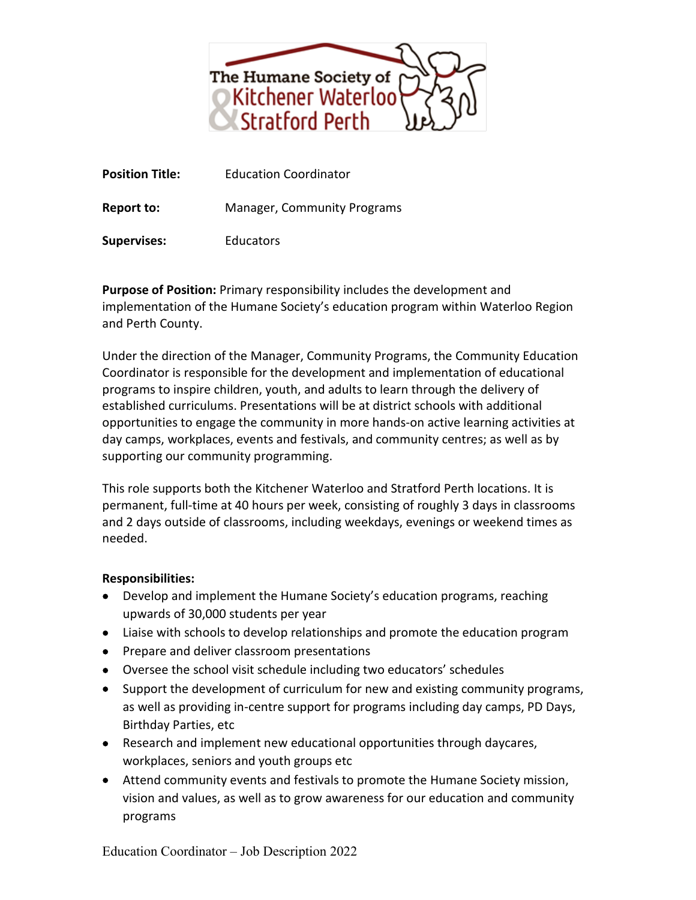

**Position Title:** Education Coordinator

**Report to:** Manager, Community Programs

**Supervises:** Educators

**Purpose of Position:** Primary responsibility includes the development and implementation of the Humane Society's education program within Waterloo Region and Perth County.

Under the direction of the Manager, Community Programs, the Community Education Coordinator is responsible for the development and implementation of educational programs to inspire children, youth, and adults to learn through the delivery of established curriculums. Presentations will be at district schools with additional opportunities to engage the community in more hands-on active learning activities at day camps, workplaces, events and festivals, and community centres; as well as by supporting our community programming.

This role supports both the Kitchener Waterloo and Stratford Perth locations. It is permanent, full-time at 40 hours per week, consisting of roughly 3 days in classrooms and 2 days outside of classrooms, including weekdays, evenings or weekend times as needed.

## **Responsibilities:**

- Develop and implement the Humane Society's education programs, reaching upwards of 30,000 students per year
- Liaise with schools to develop relationships and promote the education program
- Prepare and deliver classroom presentations
- Oversee the school visit schedule including two educators' schedules
- Support the development of curriculum for new and existing community programs, as well as providing in-centre support for programs including day camps, PD Days, Birthday Parties, etc
- Research and implement new educational opportunities through daycares, workplaces, seniors and youth groups etc
- Attend community events and festivals to promote the Humane Society mission, vision and values, as well as to grow awareness for our education and community programs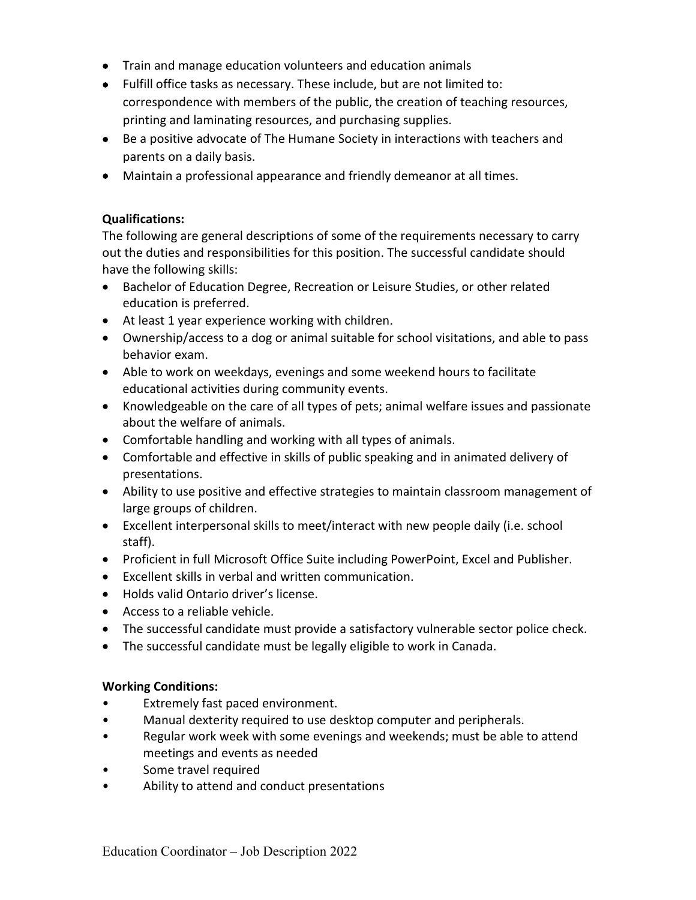- Train and manage education volunteers and education animals
- Fulfill office tasks as necessary. These include, but are not limited to: correspondence with members of the public, the creation of teaching resources, printing and laminating resources, and purchasing supplies.
- Be a positive advocate of The Humane Society in interactions with teachers and parents on a daily basis.
- Maintain a professional appearance and friendly demeanor at all times.

## **Qualifications:**

The following are general descriptions of some of the requirements necessary to carry out the duties and responsibilities for this position. The successful candidate should have the following skills:

- Bachelor of Education Degree, Recreation or Leisure Studies, or other related education is preferred.
- At least 1 year experience working with children.
- Ownership/access to a dog or animal suitable for school visitations, and able to pass behavior exam.
- Able to work on weekdays, evenings and some weekend hours to facilitate educational activities during community events.
- Knowledgeable on the care of all types of pets; animal welfare issues and passionate about the welfare of animals.
- Comfortable handling and working with all types of animals.
- Comfortable and effective in skills of public speaking and in animated delivery of presentations.
- Ability to use positive and effective strategies to maintain classroom management of large groups of children.
- Excellent interpersonal skills to meet/interact with new people daily (i.e. school staff).
- Proficient in full Microsoft Office Suite including PowerPoint, Excel and Publisher.
- Excellent skills in verbal and written communication.
- Holds valid Ontario driver's license.
- Access to a reliable vehicle.
- The successful candidate must provide a satisfactory vulnerable sector police check.
- The successful candidate must be legally eligible to work in Canada.

## **Working Conditions:**

- Extremely fast paced environment.
- Manual dexterity required to use desktop computer and peripherals.
- Regular work week with some evenings and weekends; must be able to attend meetings and events as needed
- Some travel required
- Ability to attend and conduct presentations